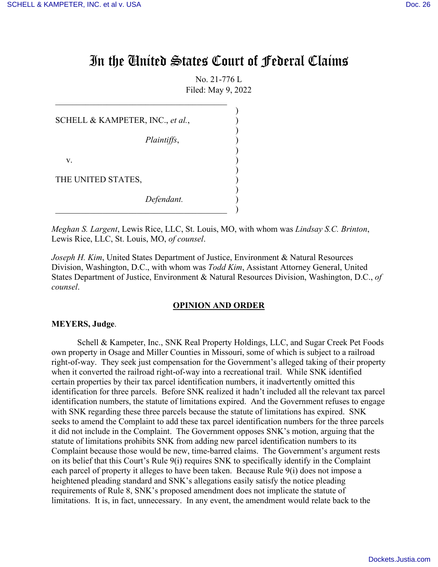# In the United States Court of Federal Claims

No. 21-776 L Filed: May 9, 2022

)

)

)

)

)

SCHELL & KAMPETER, INC., *et al.*,

*Plaintiffs*, )

 $\overline{\mathcal{L}}$  , and the contribution of the contribution of  $\overline{\mathcal{L}}$ 

v. (1)

THE UNITED STATES,

*Defendant.* )

 $\qquad \qquad \qquad \qquad \quad \big)$ 

*Meghan S. Largent*, Lewis Rice, LLC, St. Louis, MO, with whom was *Lindsay S.C. Brinton*, Lewis Rice, LLC, St. Louis, MO, *of counsel*.

*Joseph H. Kim*, United States Department of Justice, Environment & Natural Resources Division, Washington, D.C., with whom was *Todd Kim*, Assistant Attorney General, United States Department of Justice, Environment & Natural Resources Division, Washington, D.C., *of counsel*.

#### **OPINION AND ORDER**

#### **MEYERS, Judge**.

Schell & Kampeter, Inc., SNK Real Property Holdings, LLC, and Sugar Creek Pet Foods own property in Osage and Miller Counties in Missouri, some of which is subject to a railroad right-of-way. They seek just compensation for the Government's alleged taking of their property when it converted the railroad right-of-way into a recreational trail. While SNK identified certain properties by their tax parcel identification numbers, it inadvertently omitted this identification for three parcels. Before SNK realized it hadn't included all the relevant tax parcel identification numbers, the statute of limitations expired. And the Government refuses to engage with SNK regarding these three parcels because the statute of limitations has expired. SNK seeks to amend the Complaint to add these tax parcel identification numbers for the three parcels it did not include in the Complaint. The Government opposes SNK's motion, arguing that the statute of limitations prohibits SNK from adding new parcel identification numbers to its Complaint because those would be new, time-barred claims. The Government's argument rests on its belief that this Court's Rule 9(i) requires SNK to specifically identify in the Complaint each parcel of property it alleges to have been taken. Because Rule 9(i) does not impose a heightened pleading standard and SNK's allegations easily satisfy the notice pleading requirements of Rule 8, SNK's proposed amendment does not implicate the statute of limitations. It is, in fact, unnecessary. In any event, the amendment would relate back to the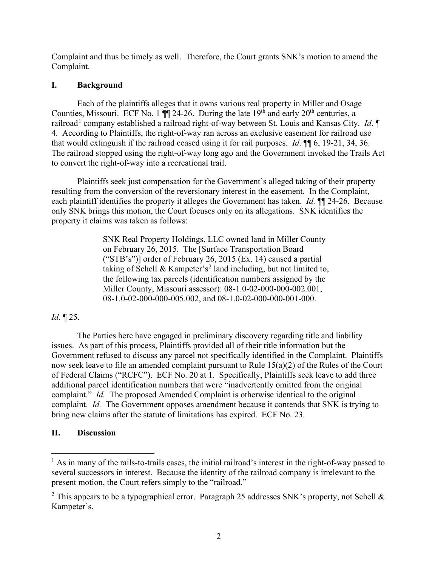Complaint and thus be timely as well. Therefore, the Court grants SNK's motion to amend the Complaint.

## **I. Background**

Each of the plaintiffs alleges that it owns various real property in Miller and Osage Counties, Missouri. ECF No. 1  $\P$  24-26. During the late 19<sup>th</sup> and early 20<sup>th</sup> centuries, a railroad<sup>1</sup> company established a railroad right-of-way between St. Louis and Kansas City. Id. ¶ 4. According to Plaintiffs, the right-of-way ran across an exclusive easement for railroad use that would extinguish if the railroad ceased using it for rail purposes. *Id*. ¶¶ 6, 19-21, 34, 36. The railroad stopped using the right-of-way long ago and the Government invoked the Trails Act to convert the right-of-way into a recreational trail.

Plaintiffs seek just compensation for the Government's alleged taking of their property resulting from the conversion of the reversionary interest in the easement. In the Complaint, each plaintiff identifies the property it alleges the Government has taken. *Id.* ¶¶ 24-26. Because only SNK brings this motion, the Court focuses only on its allegations. SNK identifies the property it claims was taken as follows:

> SNK Real Property Holdings, LLC owned land in Miller County on February 26, 2015. The [Surface Transportation Board ("STB's")] order of February 26, 2015 (Ex. 14) caused a partial taking of Schell & Kampeter's<sup>2</sup> land including, but not limited to, the following tax parcels (identification numbers assigned by the Miller County, Missouri assessor): 08-1.0-02-000-000-002.001, 08-1.0-02-000-000-005.002, and 08-1.0-02-000-000-001-000.

# *Id.* ¶ 25.

The Parties here have engaged in preliminary discovery regarding title and liability issues. As part of this process, Plaintiffs provided all of their title information but the Government refused to discuss any parcel not specifically identified in the Complaint. Plaintiffs now seek leave to file an amended complaint pursuant to Rule 15(a)(2) of the Rules of the Court of Federal Claims ("RCFC"). ECF No. 20 at 1. Specifically, Plaintiffs seek leave to add three additional parcel identification numbers that were "inadvertently omitted from the original complaint." *Id.* The proposed Amended Complaint is otherwise identical to the original complaint. *Id.* The Government opposes amendment because it contends that SNK is trying to bring new claims after the statute of limitations has expired. ECF No. 23.

# **II. Discussion**

<sup>&</sup>lt;sup>1</sup> As in many of the rails-to-trails cases, the initial railroad's interest in the right-of-way passed to several successors in interest. Because the identity of the railroad company is irrelevant to the present motion, the Court refers simply to the "railroad."

<sup>&</sup>lt;sup>2</sup> This appears to be a typographical error. Paragraph 25 addresses SNK's property, not Schell & Kampeter's.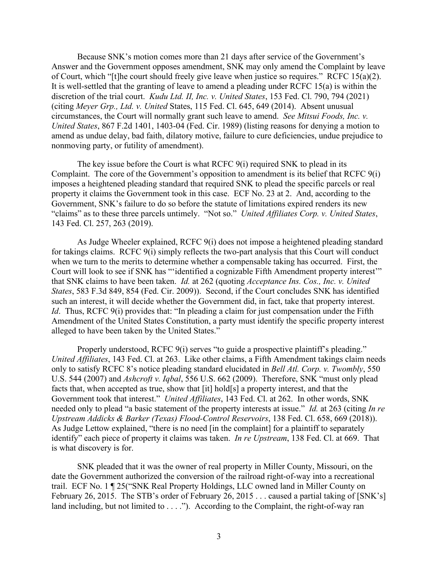Because SNK's motion comes more than 21 days after service of the Government's Answer and the Government opposes amendment, SNK may only amend the Complaint by leave of Court, which "[t]he court should freely give leave when justice so requires." RCFC 15(a)(2). It is well-settled that the granting of leave to amend a pleading under RCFC 15(a) is within the discretion of the trial court. *Kudu Ltd. II, Inc. v. United States*, 153 Fed. Cl. 790, 794 (2021) (citing *Meyer Grp., Ltd. v. United* States, 115 Fed. Cl. 645, 649 (2014). Absent unusual circumstances, the Court will normally grant such leave to amend. *See Mitsui Foods, Inc. v. United States*, 867 F.2d 1401, 1403-04 (Fed. Cir. 1989) (listing reasons for denying a motion to amend as undue delay, bad faith, dilatory motive, failure to cure deficiencies, undue prejudice to nonmoving party, or futility of amendment).

The key issue before the Court is what RCFC  $9(i)$  required SNK to plead in its Complaint. The core of the Government's opposition to amendment is its belief that RCFC 9(i) imposes a heightened pleading standard that required SNK to plead the specific parcels or real property it claims the Government took in this case. ECF No. 23 at 2. And, according to the Government, SNK's failure to do so before the statute of limitations expired renders its new "claims" as to these three parcels untimely. "Not so." *United Affiliates Corp. v. United States*, 143 Fed. Cl. 257, 263 (2019).

As Judge Wheeler explained, RCFC 9(i) does not impose a heightened pleading standard for takings claims. RCFC 9(i) simply reflects the two-part analysis that this Court will conduct when we turn to the merits to determine whether a compensable taking has occurred. First, the Court will look to see if SNK has "'identified a cognizable Fifth Amendment property interest'" that SNK claims to have been taken. *Id.* at 262 (quoting *Acceptance Ins. Cos., Inc. v. United States*, 583 F.3d 849, 854 (Fed. Cir. 2009)). Second, if the Court concludes SNK has identified such an interest, it will decide whether the Government did, in fact, take that property interest. *Id.* Thus, RCFC 9(i) provides that: "In pleading a claim for just compensation under the Fifth Amendment of the United States Constitution, a party must identify the specific property interest alleged to have been taken by the United States."

Properly understood, RCFC 9(i) serves "to guide a prospective plaintiff's pleading." *United Affiliates*, 143 Fed. Cl. at 263. Like other claims, a Fifth Amendment takings claim needs only to satisfy RCFC 8's notice pleading standard elucidated in *Bell Atl. Corp. v. Twombly*, 550 U.S. 544 (2007) and *Ashcroft v. Iqbal*, 556 U.S. 662 (2009). Therefore, SNK "must only plead facts that, when accepted as true, show that [it] hold[s] a property interest, and that the Government took that interest." *United Affiliates*, 143 Fed. Cl. at 262. In other words, SNK needed only to plead "a basic statement of the property interests at issue." *Id.* at 263 (citing *In re Upstream Addicks & Barker (Texas) Flood-Control Reservoirs*, 138 Fed. Cl. 658, 669 (2018)). As Judge Lettow explained, "there is no need [in the complaint] for a plaintiff to separately identify" each piece of property it claims was taken. *In re Upstream*, 138 Fed. Cl. at 669. That is what discovery is for.

SNK pleaded that it was the owner of real property in Miller County, Missouri, on the date the Government authorized the conversion of the railroad right-of-way into a recreational trail. ECF No. 1 ¶ 25("SNK Real Property Holdings, LLC owned land in Miller County on February 26, 2015. The STB's order of February 26, 2015 . . . caused a partial taking of [SNK's] land including, but not limited to . . . ."). According to the Complaint, the right-of-way ran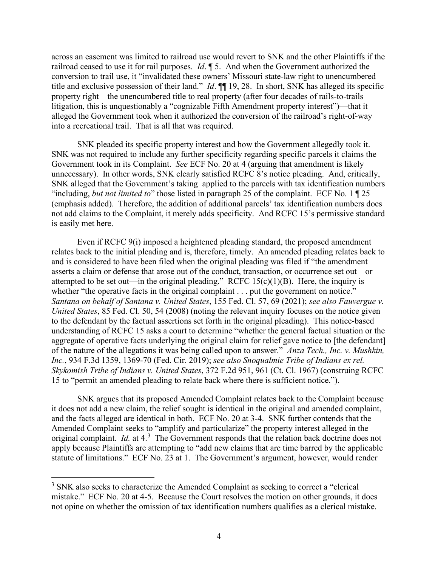across an easement was limited to railroad use would revert to SNK and the other Plaintiffs if the railroad ceased to use it for rail purposes. *Id*. ¶ 5. And when the Government authorized the conversion to trail use, it "invalidated these owners' Missouri state-law right to unencumbered title and exclusive possession of their land." *Id*. ¶¶ 19, 28. In short, SNK has alleged its specific property right—the unencumbered title to real property (after four decades of rails-to-trails litigation, this is unquestionably a "cognizable Fifth Amendment property interest")—that it alleged the Government took when it authorized the conversion of the railroad's right-of-way into a recreational trail. That is all that was required.

SNK pleaded its specific property interest and how the Government allegedly took it. SNK was not required to include any further specificity regarding specific parcels it claims the Government took in its Complaint. *See* ECF No. 20 at 4 (arguing that amendment is likely unnecessary). In other words, SNK clearly satisfied RCFC 8's notice pleading. And, critically, SNK alleged that the Government's taking applied to the parcels with tax identification numbers "including, *but not limited to*" those listed in paragraph 25 of the complaint. ECF No. 1 ¶ 25 (emphasis added). Therefore, the addition of additional parcels' tax identification numbers does not add claims to the Complaint, it merely adds specificity. And RCFC 15's permissive standard is easily met here.

Even if RCFC 9(i) imposed a heightened pleading standard, the proposed amendment relates back to the initial pleading and is, therefore, timely. An amended pleading relates back to and is considered to have been filed when the original pleading was filed if "the amendment asserts a claim or defense that arose out of the conduct, transaction, or occurrence set out—or attempted to be set out—in the original pleading." RCFC  $15(c)(1)(B)$ . Here, the inquiry is whether "the operative facts in the original complaint . . . put the government on notice." *Santana on behalf of Santana v. United States*, 155 Fed. Cl. 57, 69 (2021); *see also Fauvergue v. United States*, 85 Fed. Cl. 50, 54 (2008) (noting the relevant inquiry focuses on the notice given to the defendant by the factual assertions set forth in the original pleading). This notice-based understanding of RCFC 15 asks a court to determine "whether the general factual situation or the aggregate of operative facts underlying the original claim for relief gave notice to [the defendant] of the nature of the allegations it was being called upon to answer." *Anza Tech., Inc. v. Mushkin, Inc.*, 934 F.3d 1359, 1369-70 (Fed. Cir. 2019); *see also Snoqualmie Tribe of Indians ex rel. Skykomish Tribe of Indians v. United States*, 372 F.2d 951, 961 (Ct. Cl. 1967) (construing RCFC 15 to "permit an amended pleading to relate back where there is sufficient notice.").

SNK argues that its proposed Amended Complaint relates back to the Complaint because it does not add a new claim, the relief sought is identical in the original and amended complaint, and the facts alleged are identical in both. ECF No. 20 at 3-4. SNK further contends that the Amended Complaint seeks to "amplify and particularize" the property interest alleged in the original complaint. *Id.* at 4. 3 The Government responds that the relation back doctrine does not apply because Plaintiffs are attempting to "add new claims that are time barred by the applicable statute of limitations." ECF No. 23 at 1. The Government's argument, however, would render

<sup>&</sup>lt;sup>3</sup> SNK also seeks to characterize the Amended Complaint as seeking to correct a "clerical" mistake." ECF No. 20 at 4-5. Because the Court resolves the motion on other grounds, it does not opine on whether the omission of tax identification numbers qualifies as a clerical mistake.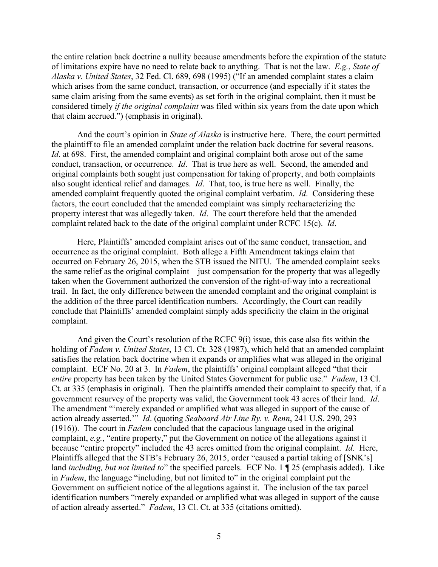the entire relation back doctrine a nullity because amendments before the expiration of the statute of limitations expire have no need to relate back to anything. That is not the law. *E.g.*, *State of Alaska v. United States*, 32 Fed. Cl. 689, 698 (1995) ("If an amended complaint states a claim which arises from the same conduct, transaction, or occurrence (and especially if it states the same claim arising from the same events) as set forth in the original complaint, then it must be considered timely *if the original complaint* was filed within six years from the date upon which that claim accrued.") (emphasis in original).

And the court's opinion in *State of Alaska* is instructive here. There, the court permitted the plaintiff to file an amended complaint under the relation back doctrine for several reasons. *Id.* at 698. First, the amended complaint and original complaint both arose out of the same conduct, transaction, or occurrence. *Id*. That is true here as well. Second, the amended and original complaints both sought just compensation for taking of property, and both complaints also sought identical relief and damages. *Id*. That, too, is true here as well. Finally, the amended complaint frequently quoted the original complaint verbatim. *Id*. Considering these factors, the court concluded that the amended complaint was simply recharacterizing the property interest that was allegedly taken. *Id*. The court therefore held that the amended complaint related back to the date of the original complaint under RCFC 15(c). *Id*.

Here, Plaintiffs' amended complaint arises out of the same conduct, transaction, and occurrence as the original complaint. Both allege a Fifth Amendment takings claim that occurred on February 26, 2015, when the STB issued the NITU. The amended complaint seeks the same relief as the original complaint—just compensation for the property that was allegedly taken when the Government authorized the conversion of the right-of-way into a recreational trail. In fact, the only difference between the amended complaint and the original complaint is the addition of the three parcel identification numbers. Accordingly, the Court can readily conclude that Plaintiffs' amended complaint simply adds specificity the claim in the original complaint.

And given the Court's resolution of the RCFC 9(i) issue, this case also fits within the holding of *Fadem v. United States*, 13 Cl. Ct. 328 (1987), which held that an amended complaint satisfies the relation back doctrine when it expands or amplifies what was alleged in the original complaint. ECF No. 20 at 3. In *Fadem*, the plaintiffs' original complaint alleged "that their *entire* property has been taken by the United States Government for public use." *Fadem*, 13 Cl. Ct. at 335 (emphasis in original). Then the plaintiffs amended their complaint to specify that, if a government resurvey of the property was valid, the Government took 43 acres of their land. *Id*. The amendment "'merely expanded or amplified what was alleged in support of the cause of action already asserted.'" *Id*. (quoting *Seaboard Air Line Ry. v. Renn*, 241 U.S. 290, 293 (1916)). The court in *Fadem* concluded that the capacious language used in the original complaint, *e.g.*, "entire property," put the Government on notice of the allegations against it because "entire property" included the 43 acres omitted from the original complaint. *Id.* Here, Plaintiffs alleged that the STB's February 26, 2015, order "caused a partial taking of [SNK's] land *including, but not limited to*" the specified parcels. ECF No. 1 ¶ 25 (emphasis added). Like in *Fadem*, the language "including, but not limited to" in the original complaint put the Government on sufficient notice of the allegations against it. The inclusion of the tax parcel identification numbers "merely expanded or amplified what was alleged in support of the cause of action already asserted." *Fadem*, 13 Cl. Ct. at 335 (citations omitted).